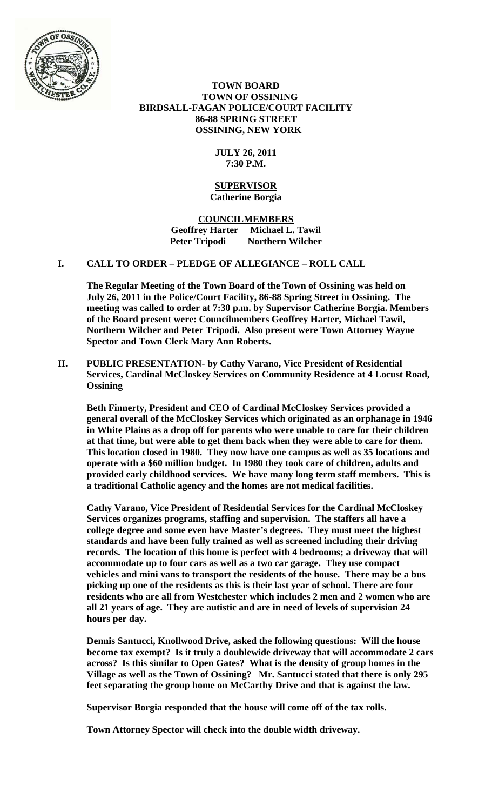

 **TOWN BOARD TOWN OF OSSINING BIRDSALL-FAGAN POLICE/COURT FACILITY 86-88 SPRING STREET OSSINING, NEW YORK** 

# **JULY 26, 2011 7:30 P.M.**

### **SUPERVISOR Catherine Borgia**

**COUNCILMEMBERS Geoffrey Harter Michael L. Tawil Northern Wilcher** 

# **I. CALL TO ORDER – PLEDGE OF ALLEGIANCE – ROLL CALL**

**The Regular Meeting of the Town Board of the Town of Ossining was held on July 26, 2011 in the Police/Court Facility, 86-88 Spring Street in Ossining. The meeting was called to order at 7:30 p.m. by Supervisor Catherine Borgia. Members of the Board present were: Councilmembers Geoffrey Harter, Michael Tawil, Northern Wilcher and Peter Tripodi. Also present were Town Attorney Wayne Spector and Town Clerk Mary Ann Roberts.** 

**II. PUBLIC PRESENTATION- by Cathy Varano, Vice President of Residential Services, Cardinal McCloskey Services on Community Residence at 4 Locust Road, Ossining** 

**Beth Finnerty, President and CEO of Cardinal McCloskey Services provided a general overall of the McCloskey Services which originated as an orphanage in 1946 in White Plains as a drop off for parents who were unable to care for their children at that time, but were able to get them back when they were able to care for them. This location closed in 1980. They now have one campus as well as 35 locations and operate with a \$60 million budget. In 1980 they took care of children, adults and provided early childhood services. We have many long term staff members. This is a traditional Catholic agency and the homes are not medical facilities.** 

**Cathy Varano, Vice President of Residential Services for the Cardinal McCloskey Services organizes programs, staffing and supervision. The staffers all have a college degree and some even have Master's degrees. They must meet the highest standards and have been fully trained as well as screened including their driving records. The location of this home is perfect with 4 bedrooms; a driveway that will accommodate up to four cars as well as a two car garage. They use compact vehicles and mini vans to transport the residents of the house. There may be a bus picking up one of the residents as this is their last year of school. There are four residents who are all from Westchester which includes 2 men and 2 women who are all 21 years of age. They are autistic and are in need of levels of supervision 24 hours per day.** 

**Dennis Santucci, Knollwood Drive, asked the following questions: Will the house become tax exempt? Is it truly a doublewide driveway that will accommodate 2 cars across? Is this similar to Open Gates? What is the density of group homes in the Village as well as the Town of Ossining? Mr. Santucci stated that there is only 295 feet separating the group home on McCarthy Drive and that is against the law.** 

**Supervisor Borgia responded that the house will come off of the tax rolls.** 

**Town Attorney Spector will check into the double width driveway.**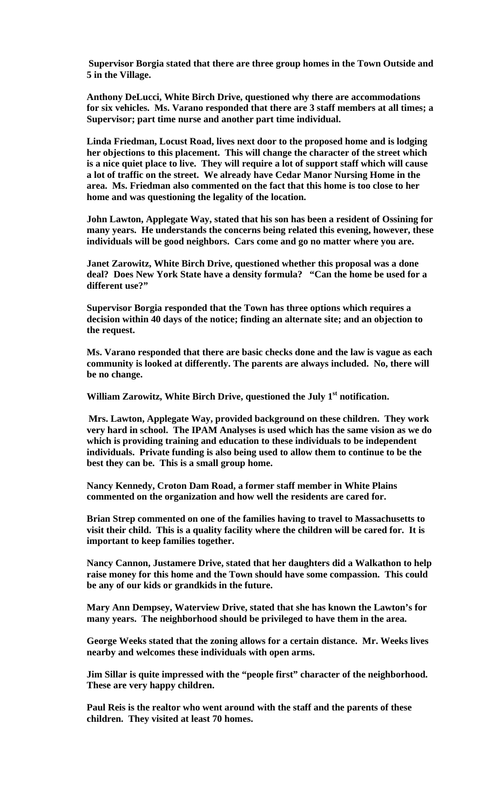**Supervisor Borgia stated that there are three group homes in the Town Outside and 5 in the Village.** 

**Anthony DeLucci, White Birch Drive, questioned why there are accommodations for six vehicles. Ms. Varano responded that there are 3 staff members at all times; a Supervisor; part time nurse and another part time individual.** 

**Linda Friedman, Locust Road, lives next door to the proposed home and is lodging her objections to this placement. This will change the character of the street which is a nice quiet place to live. They will require a lot of support staff which will cause a lot of traffic on the street. We already have Cedar Manor Nursing Home in the area. Ms. Friedman also commented on the fact that this home is too close to her home and was questioning the legality of the location.** 

**John Lawton, Applegate Way, stated that his son has been a resident of Ossining for many years. He understands the concerns being related this evening, however, these individuals will be good neighbors. Cars come and go no matter where you are.** 

**Janet Zarowitz, White Birch Drive, questioned whether this proposal was a done deal? Does New York State have a density formula? "Can the home be used for a different use?"** 

**Supervisor Borgia responded that the Town has three options which requires a decision within 40 days of the notice; finding an alternate site; and an objection to the request.** 

**Ms. Varano responded that there are basic checks done and the law is vague as each community is looked at differently. The parents are always included. No, there will be no change.** 

William Zarowitz, White Birch Drive, questioned the July 1<sup>st</sup> notification.

**Mrs. Lawton, Applegate Way, provided background on these children. They work very hard in school. The IPAM Analyses is used which has the same vision as we do which is providing training and education to these individuals to be independent individuals. Private funding is also being used to allow them to continue to be the best they can be. This is a small group home.** 

**Nancy Kennedy, Croton Dam Road, a former staff member in White Plains commented on the organization and how well the residents are cared for.** 

**Brian Strep commented on one of the families having to travel to Massachusetts to visit their child. This is a quality facility where the children will be cared for. It is important to keep families together.** 

**Nancy Cannon, Justamere Drive, stated that her daughters did a Walkathon to help raise money for this home and the Town should have some compassion. This could be any of our kids or grandkids in the future.** 

**Mary Ann Dempsey, Waterview Drive, stated that she has known the Lawton's for many years. The neighborhood should be privileged to have them in the area.** 

**George Weeks stated that the zoning allows for a certain distance. Mr. Weeks lives nearby and welcomes these individuals with open arms.** 

**Jim Sillar is quite impressed with the "people first" character of the neighborhood. These are very happy children.** 

**Paul Reis is the realtor who went around with the staff and the parents of these children. They visited at least 70 homes.**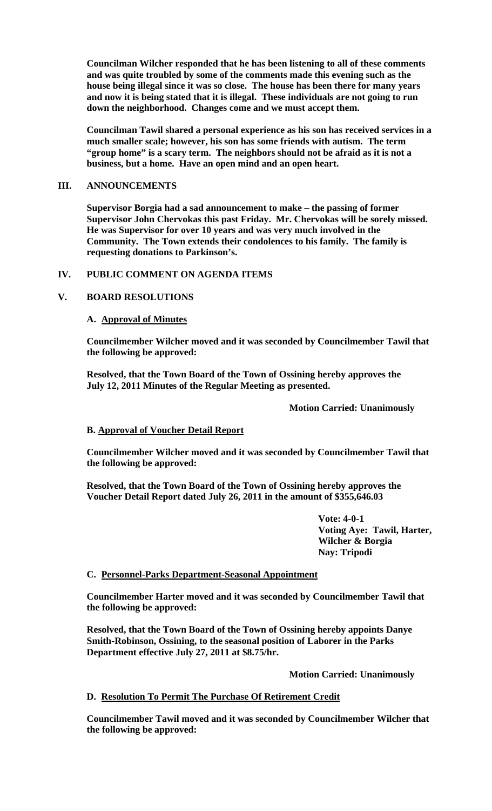**Councilman Wilcher responded that he has been listening to all of these comments and was quite troubled by some of the comments made this evening such as the house being illegal since it was so close. The house has been there for many years and now it is being stated that it is illegal. These individuals are not going to run down the neighborhood. Changes come and we must accept them.** 

**Councilman Tawil shared a personal experience as his son has received services in a much smaller scale; however, his son has some friends with autism. The term "group home" is a scary term. The neighbors should not be afraid as it is not a business, but a home. Have an open mind and an open heart.** 

## **III. ANNOUNCEMENTS**

**Supervisor Borgia had a sad announcement to make – the passing of former Supervisor John Chervokas this past Friday. Mr. Chervokas will be sorely missed. He was Supervisor for over 10 years and was very much involved in the Community. The Town extends their condolences to his family. The family is requesting donations to Parkinson's.** 

# **IV. PUBLIC COMMENT ON AGENDA ITEMS**

# **V. BOARD RESOLUTIONS**

### **A. Approval of Minutes**

**Councilmember Wilcher moved and it was seconded by Councilmember Tawil that the following be approved:** 

**Resolved, that the Town Board of the Town of Ossining hereby approves the July 12, 2011 Minutes of the Regular Meeting as presented.** 

 **Motion Carried: Unanimously** 

### **B. Approval of Voucher Detail Report**

**Councilmember Wilcher moved and it was seconded by Councilmember Tawil that the following be approved:** 

**Resolved, that the Town Board of the Town of Ossining hereby approves the Voucher Detail Report dated July 26, 2011 in the amount of \$355,646.03** 

> **Vote: 4-0-1 Voting Aye: Tawil, Harter, Wilcher & Borgia Nay: Tripodi**

### **C. Personnel-Parks Department-Seasonal Appointment**

**Councilmember Harter moved and it was seconded by Councilmember Tawil that the following be approved:** 

**Resolved, that the Town Board of the Town of Ossining hereby appoints Danye Smith-Robinson, Ossining, to the seasonal position of Laborer in the Parks Department effective July 27, 2011 at \$8.75/hr.** 

 **Motion Carried: Unanimously** 

# **D. Resolution To Permit The Purchase Of Retirement Credit**

**Councilmember Tawil moved and it was seconded by Councilmember Wilcher that the following be approved:**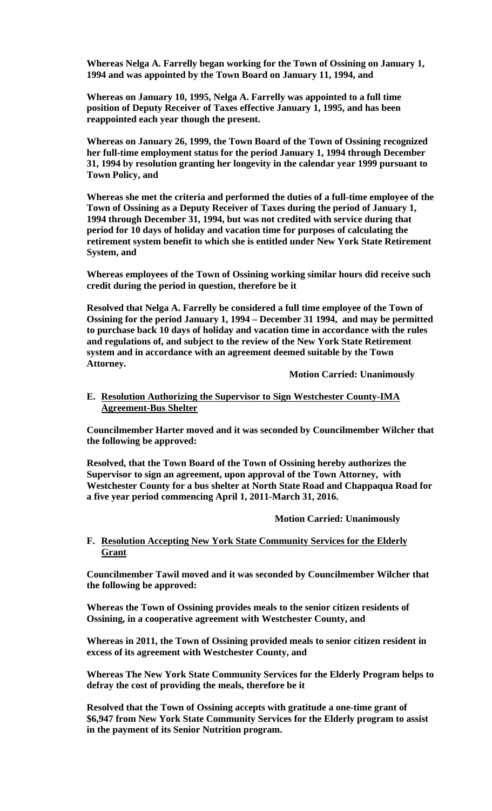**Whereas Nelga A. Farrelly began working for the Town of Ossining on January 1, 1994 and was appointed by the Town Board on January 11, 1994, and** 

**Whereas on January 10, 1995, Nelga A. Farrelly was appointed to a full time position of Deputy Receiver of Taxes effective January 1, 1995, and has been reappointed each year though the present.** 

**Whereas on January 26, 1999, the Town Board of the Town of Ossining recognized her full-time employment status for the period January 1, 1994 through December 31, 1994 by resolution granting her longevity in the calendar year 1999 pursuant to Town Policy, and** 

**Whereas she met the criteria and performed the duties of a full-time employee of the Town of Ossining as a Deputy Receiver of Taxes during the period of January 1, 1994 through December 31, 1994, but was not credited with service during that period for 10 days of holiday and vacation time for purposes of calculating the retirement system benefit to which she is entitled under New York State Retirement System, and** 

**Whereas employees of the Town of Ossining working similar hours did receive such credit during the period in question, therefore be it** 

**Resolved that Nelga A. Farrelly be considered a full time employee of the Town of Ossining for the period January 1, 1994 – December 31 1994, and may be permitted to purchase back 10 days of holiday and vacation time in accordance with the rules and regulations of, and subject to the review of the New York State Retirement system and in accordance with an agreement deemed suitable by the Town Attorney.** 

 **Motion Carried: Unanimously** 

### **E. Resolution Authorizing the Supervisor to Sign Westchester County-IMA Agreement-Bus Shelter**

**Councilmember Harter moved and it was seconded by Councilmember Wilcher that the following be approved:** 

**Resolved, that the Town Board of the Town of Ossining hereby authorizes the Supervisor to sign an agreement, upon approval of the Town Attorney, with Westchester County for a bus shelter at North State Road and Chappaqua Road for a five year period commencing April 1, 2011-March 31, 2016.** 

 **Motion Carried: Unanimously** 

# **F. Resolution Accepting New York State Community Services for the Elderly Grant**

**Councilmember Tawil moved and it was seconded by Councilmember Wilcher that the following be approved:** 

**Whereas the Town of Ossining provides meals to the senior citizen residents of Ossining, in a cooperative agreement with Westchester County, and** 

**Whereas in 2011, the Town of Ossining provided meals to senior citizen resident in excess of its agreement with Westchester County, and** 

**Whereas The New York State Community Services for the Elderly Program helps to defray the cost of providing the meals, therefore be it** 

**Resolved that the Town of Ossining accepts with gratitude a one-time grant of \$6,947 from New York State Community Services for the Elderly program to assist in the payment of its Senior Nutrition program.**